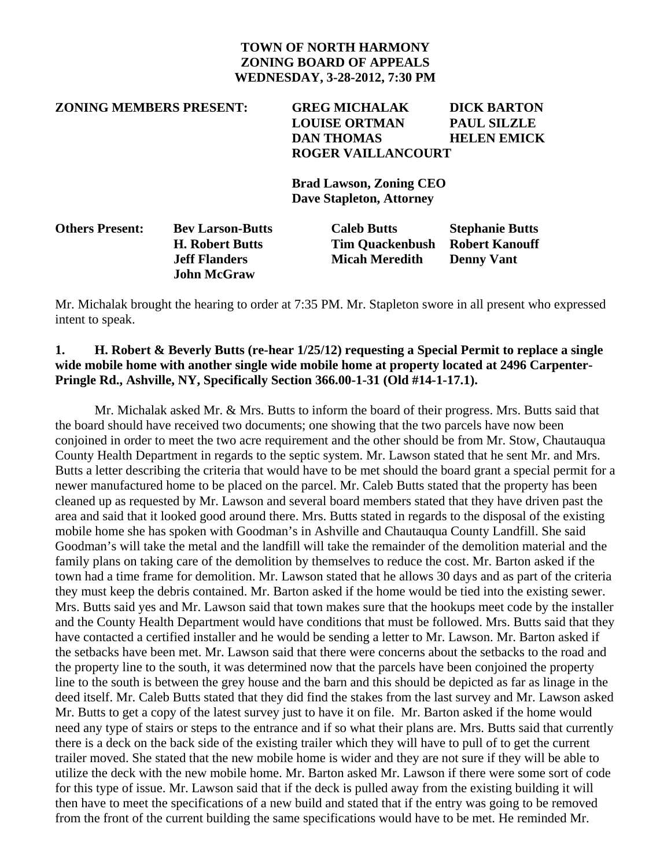#### **TOWN OF NORTH HARMONY ZONING BOARD OF APPEALS WEDNESDAY, 3-28-2012, 7:30 PM**

# **ZONING MEMBERS PRESENT: GREG MICHALAK DICK BARTON LOUISE ORTMAN PAUL SILZLE DAN THOMAS HELEN EMICK ROGER VAILLANCOURT Brad Lawson, Zoning CEO Dave Stapleton, Attorney Others Present: Bev Larson-Butts Caleb Butts Stephanie Butts H. Robert Butts Tim Quackenbush Robert Kanouff Jeff Flanders Micah Meredith Denny Vant John McGraw**

Mr. Michalak brought the hearing to order at 7:35 PM. Mr. Stapleton swore in all present who expressed intent to speak.

### **1. H. Robert & Beverly Butts (re-hear 1/25/12) requesting a Special Permit to replace a single wide mobile home with another single wide mobile home at property located at 2496 Carpenter-Pringle Rd., Ashville, NY, Specifically Section 366.00-1-31 (Old #14-1-17.1).**

Mr. Michalak asked Mr. & Mrs. Butts to inform the board of their progress. Mrs. Butts said that the board should have received two documents; one showing that the two parcels have now been conjoined in order to meet the two acre requirement and the other should be from Mr. Stow, Chautauqua County Health Department in regards to the septic system. Mr. Lawson stated that he sent Mr. and Mrs. Butts a letter describing the criteria that would have to be met should the board grant a special permit for a newer manufactured home to be placed on the parcel. Mr. Caleb Butts stated that the property has been cleaned up as requested by Mr. Lawson and several board members stated that they have driven past the area and said that it looked good around there. Mrs. Butts stated in regards to the disposal of the existing mobile home she has spoken with Goodman's in Ashville and Chautauqua County Landfill. She said Goodman's will take the metal and the landfill will take the remainder of the demolition material and the family plans on taking care of the demolition by themselves to reduce the cost. Mr. Barton asked if the town had a time frame for demolition. Mr. Lawson stated that he allows 30 days and as part of the criteria they must keep the debris contained. Mr. Barton asked if the home would be tied into the existing sewer. Mrs. Butts said yes and Mr. Lawson said that town makes sure that the hookups meet code by the installer and the County Health Department would have conditions that must be followed. Mrs. Butts said that they have contacted a certified installer and he would be sending a letter to Mr. Lawson. Mr. Barton asked if the setbacks have been met. Mr. Lawson said that there were concerns about the setbacks to the road and the property line to the south, it was determined now that the parcels have been conjoined the property line to the south is between the grey house and the barn and this should be depicted as far as linage in the deed itself. Mr. Caleb Butts stated that they did find the stakes from the last survey and Mr. Lawson asked Mr. Butts to get a copy of the latest survey just to have it on file. Mr. Barton asked if the home would need any type of stairs or steps to the entrance and if so what their plans are. Mrs. Butts said that currently there is a deck on the back side of the existing trailer which they will have to pull of to get the current trailer moved. She stated that the new mobile home is wider and they are not sure if they will be able to utilize the deck with the new mobile home. Mr. Barton asked Mr. Lawson if there were some sort of code for this type of issue. Mr. Lawson said that if the deck is pulled away from the existing building it will then have to meet the specifications of a new build and stated that if the entry was going to be removed from the front of the current building the same specifications would have to be met. He reminded Mr.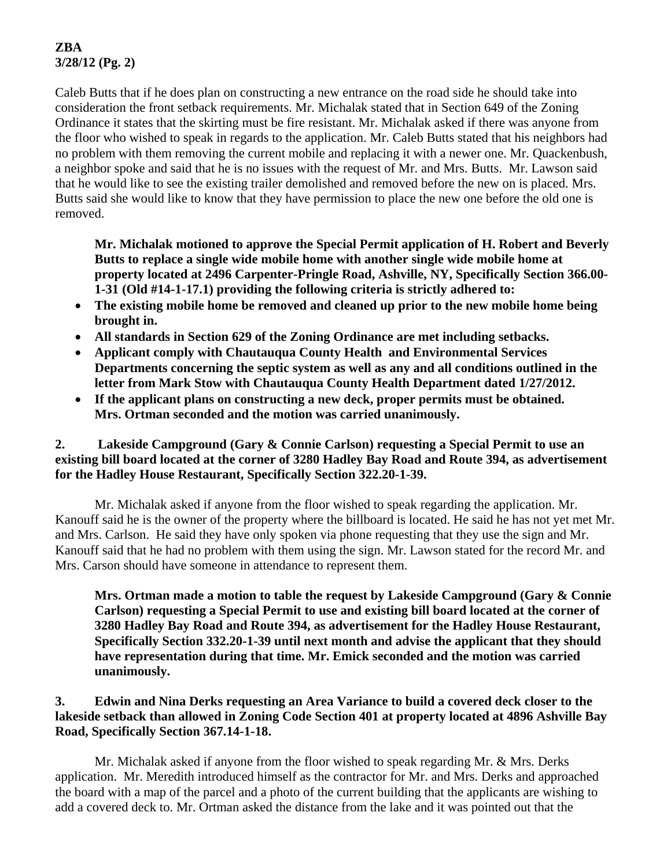# **ZBA 3/28/12 (Pg. 2)**

Caleb Butts that if he does plan on constructing a new entrance on the road side he should take into consideration the front setback requirements. Mr. Michalak stated that in Section 649 of the Zoning Ordinance it states that the skirting must be fire resistant. Mr. Michalak asked if there was anyone from the floor who wished to speak in regards to the application. Mr. Caleb Butts stated that his neighbors had no problem with them removing the current mobile and replacing it with a newer one. Mr. Quackenbush, a neighbor spoke and said that he is no issues with the request of Mr. and Mrs. Butts. Mr. Lawson said that he would like to see the existing trailer demolished and removed before the new on is placed. Mrs. Butts said she would like to know that they have permission to place the new one before the old one is removed.

**Mr. Michalak motioned to approve the Special Permit application of H. Robert and Beverly Butts to replace a single wide mobile home with another single wide mobile home at property located at 2496 Carpenter-Pringle Road, Ashville, NY, Specifically Section 366.00- 1-31 (Old #14-1-17.1) providing the following criteria is strictly adhered to:** 

- **The existing mobile home be removed and cleaned up prior to the new mobile home being brought in.**
- **All standards in Section 629 of the Zoning Ordinance are met including setbacks.**
- **Applicant comply with Chautauqua County Health and Environmental Services Departments concerning the septic system as well as any and all conditions outlined in the letter from Mark Stow with Chautauqua County Health Department dated 1/27/2012.**
- **If the applicant plans on constructing a new deck, proper permits must be obtained. Mrs. Ortman seconded and the motion was carried unanimously.**

#### **2. Lakeside Campground (Gary & Connie Carlson) requesting a Special Permit to use an existing bill board located at the corner of 3280 Hadley Bay Road and Route 394, as advertisement for the Hadley House Restaurant, Specifically Section 322.20-1-39.**

 Mr. Michalak asked if anyone from the floor wished to speak regarding the application. Mr. Kanouff said he is the owner of the property where the billboard is located. He said he has not yet met Mr. and Mrs. Carlson. He said they have only spoken via phone requesting that they use the sign and Mr. Kanouff said that he had no problem with them using the sign. Mr. Lawson stated for the record Mr. and Mrs. Carson should have someone in attendance to represent them.

**Mrs. Ortman made a motion to table the request by Lakeside Campground (Gary & Connie Carlson) requesting a Special Permit to use and existing bill board located at the corner of 3280 Hadley Bay Road and Route 394, as advertisement for the Hadley House Restaurant, Specifically Section 332.20-1-39 until next month and advise the applicant that they should have representation during that time. Mr. Emick seconded and the motion was carried unanimously.** 

## **3. Edwin and Nina Derks requesting an Area Variance to build a covered deck closer to the lakeside setback than allowed in Zoning Code Section 401 at property located at 4896 Ashville Bay Road, Specifically Section 367.14-1-18.**

 Mr. Michalak asked if anyone from the floor wished to speak regarding Mr. & Mrs. Derks application. Mr. Meredith introduced himself as the contractor for Mr. and Mrs. Derks and approached the board with a map of the parcel and a photo of the current building that the applicants are wishing to add a covered deck to. Mr. Ortman asked the distance from the lake and it was pointed out that the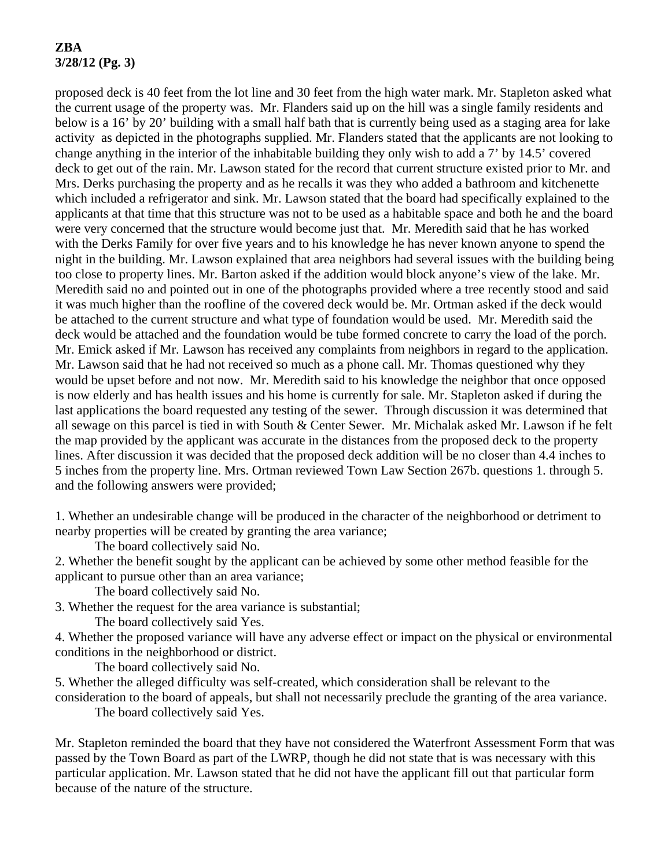# **ZBA 3/28/12 (Pg. 3)**

proposed deck is 40 feet from the lot line and 30 feet from the high water mark. Mr. Stapleton asked what the current usage of the property was. Mr. Flanders said up on the hill was a single family residents and below is a 16' by 20' building with a small half bath that is currently being used as a staging area for lake activity as depicted in the photographs supplied. Mr. Flanders stated that the applicants are not looking to change anything in the interior of the inhabitable building they only wish to add a 7' by 14.5' covered deck to get out of the rain. Mr. Lawson stated for the record that current structure existed prior to Mr. and Mrs. Derks purchasing the property and as he recalls it was they who added a bathroom and kitchenette which included a refrigerator and sink. Mr. Lawson stated that the board had specifically explained to the applicants at that time that this structure was not to be used as a habitable space and both he and the board were very concerned that the structure would become just that. Mr. Meredith said that he has worked with the Derks Family for over five years and to his knowledge he has never known anyone to spend the night in the building. Mr. Lawson explained that area neighbors had several issues with the building being too close to property lines. Mr. Barton asked if the addition would block anyone's view of the lake. Mr. Meredith said no and pointed out in one of the photographs provided where a tree recently stood and said it was much higher than the roofline of the covered deck would be. Mr. Ortman asked if the deck would be attached to the current structure and what type of foundation would be used. Mr. Meredith said the deck would be attached and the foundation would be tube formed concrete to carry the load of the porch. Mr. Emick asked if Mr. Lawson has received any complaints from neighbors in regard to the application. Mr. Lawson said that he had not received so much as a phone call. Mr. Thomas questioned why they would be upset before and not now. Mr. Meredith said to his knowledge the neighbor that once opposed is now elderly and has health issues and his home is currently for sale. Mr. Stapleton asked if during the last applications the board requested any testing of the sewer. Through discussion it was determined that all sewage on this parcel is tied in with South & Center Sewer. Mr. Michalak asked Mr. Lawson if he felt the map provided by the applicant was accurate in the distances from the proposed deck to the property lines. After discussion it was decided that the proposed deck addition will be no closer than 4.4 inches to 5 inches from the property line. Mrs. Ortman reviewed Town Law Section 267b. questions 1. through 5. and the following answers were provided;

1. Whether an undesirable change will be produced in the character of the neighborhood or detriment to nearby properties will be created by granting the area variance;

The board collectively said No.

2. Whether the benefit sought by the applicant can be achieved by some other method feasible for the applicant to pursue other than an area variance;

The board collectively said No.

3. Whether the request for the area variance is substantial;

The board collectively said Yes.

4. Whether the proposed variance will have any adverse effect or impact on the physical or environmental conditions in the neighborhood or district.

The board collectively said No.

5. Whether the alleged difficulty was self-created, which consideration shall be relevant to the consideration to the board of appeals, but shall not necessarily preclude the granting of the area variance.

The board collectively said Yes.

Mr. Stapleton reminded the board that they have not considered the Waterfront Assessment Form that was passed by the Town Board as part of the LWRP, though he did not state that is was necessary with this particular application. Mr. Lawson stated that he did not have the applicant fill out that particular form because of the nature of the structure.